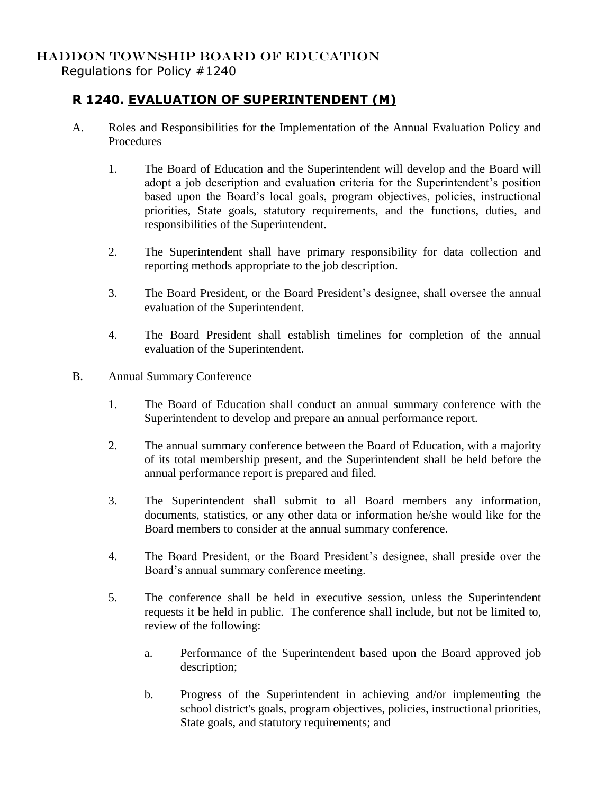## HADDON TOWNSHIP BOARD OF EDUCATION

Regulations for Policy #1240

## **R 1240. EVALUATION OF SUPERINTENDENT (M)**

- A. Roles and Responsibilities for the Implementation of the Annual Evaluation Policy and **Procedures** 
	- 1. The Board of Education and the Superintendent will develop and the Board will adopt a job description and evaluation criteria for the Superintendent's position based upon the Board's local goals, program objectives, policies, instructional priorities, State goals, statutory requirements, and the functions, duties, and responsibilities of the Superintendent.
	- 2. The Superintendent shall have primary responsibility for data collection and reporting methods appropriate to the job description.
	- 3. The Board President, or the Board President's designee, shall oversee the annual evaluation of the Superintendent.
	- 4. The Board President shall establish timelines for completion of the annual evaluation of the Superintendent.
- B. Annual Summary Conference
	- 1. The Board of Education shall conduct an annual summary conference with the Superintendent to develop and prepare an annual performance report.
	- 2. The annual summary conference between the Board of Education, with a majority of its total membership present, and the Superintendent shall be held before the annual performance report is prepared and filed.
	- 3. The Superintendent shall submit to all Board members any information, documents, statistics, or any other data or information he/she would like for the Board members to consider at the annual summary conference.
	- 4. The Board President, or the Board President's designee, shall preside over the Board's annual summary conference meeting.
	- 5. The conference shall be held in executive session, unless the Superintendent requests it be held in public. The conference shall include, but not be limited to, review of the following:
		- a. Performance of the Superintendent based upon the Board approved job description;
		- b. Progress of the Superintendent in achieving and/or implementing the school district's goals, program objectives, policies, instructional priorities, State goals, and statutory requirements; and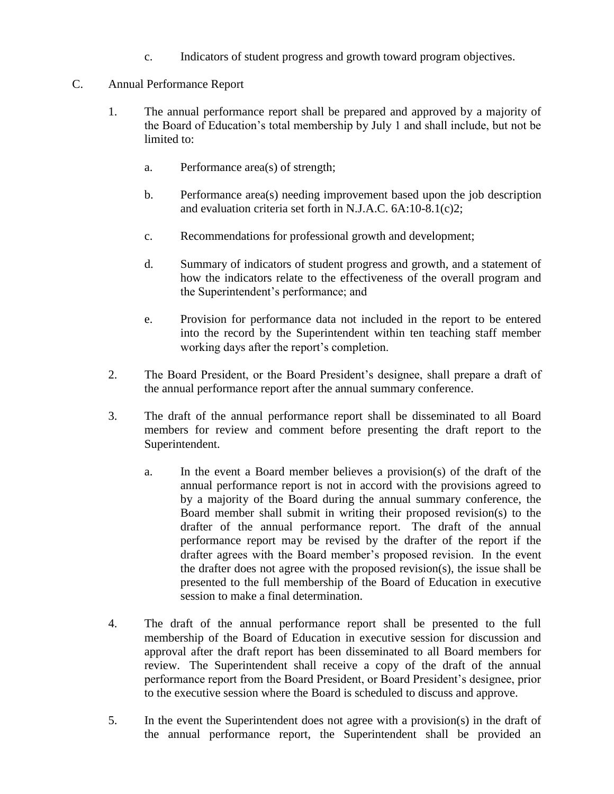- c. Indicators of student progress and growth toward program objectives.
- C. Annual Performance Report
	- 1. The annual performance report shall be prepared and approved by a majority of the Board of Education's total membership by July 1 and shall include, but not be limited to:
		- a. Performance area(s) of strength;
		- b. Performance area(s) needing improvement based upon the job description and evaluation criteria set forth in N.J.A.C. 6A:10-8.1(c)2;
		- c. Recommendations for professional growth and development;
		- d. Summary of indicators of student progress and growth, and a statement of how the indicators relate to the effectiveness of the overall program and the Superintendent's performance; and
		- e. Provision for performance data not included in the report to be entered into the record by the Superintendent within ten teaching staff member working days after the report's completion.
	- 2. The Board President, or the Board President's designee, shall prepare a draft of the annual performance report after the annual summary conference.
	- 3. The draft of the annual performance report shall be disseminated to all Board members for review and comment before presenting the draft report to the Superintendent.
		- a. In the event a Board member believes a provision(s) of the draft of the annual performance report is not in accord with the provisions agreed to by a majority of the Board during the annual summary conference, the Board member shall submit in writing their proposed revision(s) to the drafter of the annual performance report. The draft of the annual performance report may be revised by the drafter of the report if the drafter agrees with the Board member's proposed revision. In the event the drafter does not agree with the proposed revision(s), the issue shall be presented to the full membership of the Board of Education in executive session to make a final determination.
	- 4. The draft of the annual performance report shall be presented to the full membership of the Board of Education in executive session for discussion and approval after the draft report has been disseminated to all Board members for review. The Superintendent shall receive a copy of the draft of the annual performance report from the Board President, or Board President's designee, prior to the executive session where the Board is scheduled to discuss and approve.
	- 5. In the event the Superintendent does not agree with a provision(s) in the draft of the annual performance report, the Superintendent shall be provided an